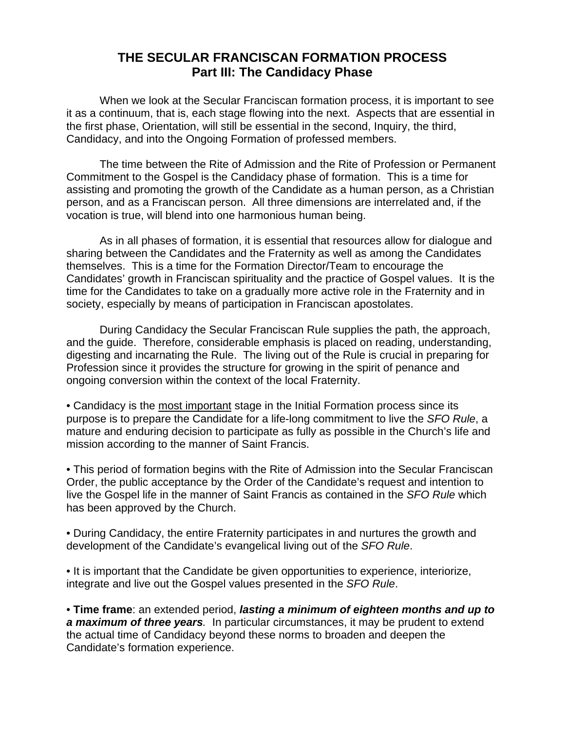## **THE SECULAR FRANCISCAN FORMATION PROCESS Part III: The Candidacy Phase**

 When we look at the Secular Franciscan formation process, it is important to see it as a continuum, that is, each stage flowing into the next. Aspects that are essential in the first phase, Orientation, will still be essential in the second, Inquiry, the third, Candidacy, and into the Ongoing Formation of professed members.

 The time between the Rite of Admission and the Rite of Profession or Permanent Commitment to the Gospel is the Candidacy phase of formation. This is a time for assisting and promoting the growth of the Candidate as a human person, as a Christian person, and as a Franciscan person. All three dimensions are interrelated and, if the vocation is true, will blend into one harmonious human being.

 As in all phases of formation, it is essential that resources allow for dialogue and sharing between the Candidates and the Fraternity as well as among the Candidates themselves. This is a time for the Formation Director/Team to encourage the Candidates' growth in Franciscan spirituality and the practice of Gospel values. It is the time for the Candidates to take on a gradually more active role in the Fraternity and in society, especially by means of participation in Franciscan apostolates.

 During Candidacy the Secular Franciscan Rule supplies the path, the approach, and the guide. Therefore, considerable emphasis is placed on reading, understanding, digesting and incarnating the Rule. The living out of the Rule is crucial in preparing for Profession since it provides the structure for growing in the spirit of penance and ongoing conversion within the context of the local Fraternity.

• Candidacy is the most important stage in the Initial Formation process since its purpose is to prepare the Candidate for a life-long commitment to live the SFO Rule, a mature and enduring decision to participate as fully as possible in the Church's life and mission according to the manner of Saint Francis.

• This period of formation begins with the Rite of Admission into the Secular Franciscan Order, the public acceptance by the Order of the Candidate's request and intention to live the Gospel life in the manner of Saint Francis as contained in the SFO Rule which has been approved by the Church.

• During Candidacy, the entire Fraternity participates in and nurtures the growth and development of the Candidate's evangelical living out of the SFO Rule.

• It is important that the Candidate be given opportunities to experience, interiorize, integrate and live out the Gospel values presented in the SFO Rule.

• **Time frame**: an extended period, **lasting a minimum of eighteen months and up to a maximum of three years**. In particular circumstances, it may be prudent to extend the actual time of Candidacy beyond these norms to broaden and deepen the Candidate's formation experience.